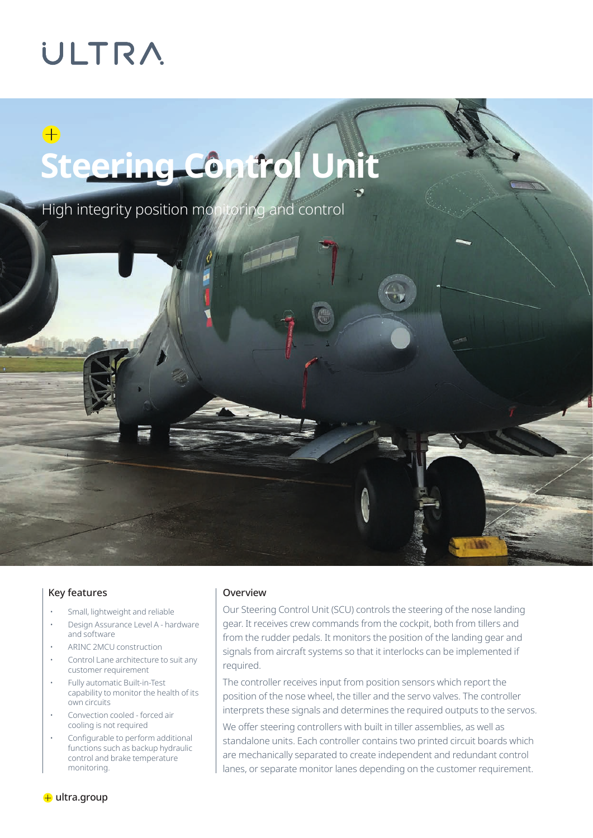## **ULTRA**

## $\bigoplus$ **Steering Control Unit**

High integrity position monitoring and control



#### Key features

- Small, lightweight and reliable
- Design Assurance Level A hardware and software
- ARINC 2MCU construction
- Control Lane architecture to suit any customer requirement
- Fully automatic Built-in-Test capability to monitor the health of its own circuits
- Convection cooled forced air cooling is not required
- Configurable to perform additional functions such as backup hydraulic control and brake temperature monitoring.

#### Overview

Our Steering Control Unit (SCU) controls the steering of the nose landing gear. It receives crew commands from the cockpit, both from tillers and from the rudder pedals. It monitors the position of the landing gear and signals from aircraft systems so that it interlocks can be implemented if required.

The controller receives input from position sensors which report the position of the nose wheel, the tiller and the servo valves. The controller interprets these signals and determines the required outputs to the servos.

We offer steering controllers with built in tiller assemblies, as well as standalone units. Each controller contains two printed circuit boards which are mechanically separated to create independent and redundant control lanes, or separate monitor lanes depending on the customer requirement.